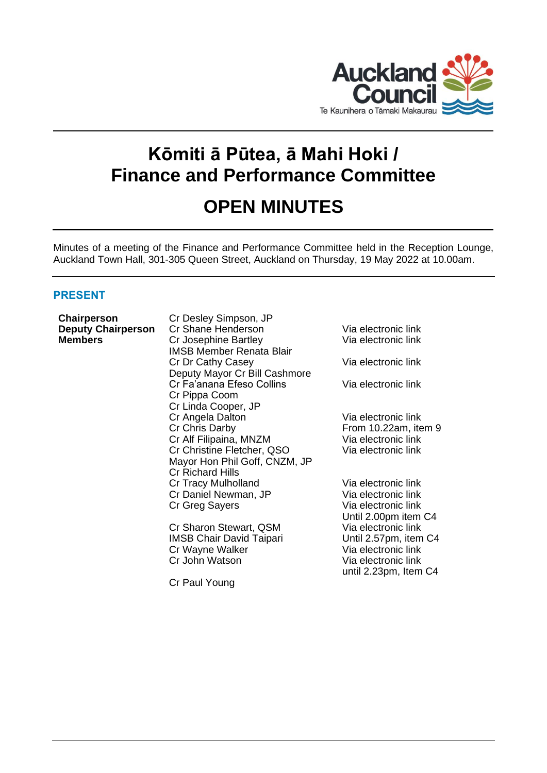

# **Kōmiti ā Pūtea, ā Mahi Hoki / Finance and Performance Committee**

# **OPEN MINUTES**

Minutes of a meeting of the Finance and Performance Committee held in the Reception Lounge, Auckland Town Hall, 301-305 Queen Street, Auckland on Thursday, 19 May 2022 at 10.00am.

# **PRESENT**

| Chairperson               | Cr Desley Simpson, JP           |                       |
|---------------------------|---------------------------------|-----------------------|
| <b>Deputy Chairperson</b> | Cr Shane Henderson              | Via electronic link   |
| <b>Members</b>            | Cr Josephine Bartley            | Via electronic link   |
|                           | <b>IMSB Member Renata Blair</b> |                       |
|                           | Cr Dr Cathy Casey               | Via electronic link   |
|                           | Deputy Mayor Cr Bill Cashmore   |                       |
|                           | Cr Fa'anana Efeso Collins       | Via electronic link   |
|                           | Cr Pippa Coom                   |                       |
|                           | Cr Linda Cooper, JP             |                       |
|                           | Cr Angela Dalton                | Via electronic link   |
|                           | Cr Chris Darby                  | From 10.22am, item 9  |
|                           | Cr Alf Filipaina, MNZM          | Via electronic link   |
|                           | Cr Christine Fletcher, QSO      | Via electronic link   |
|                           | Mayor Hon Phil Goff, CNZM, JP   |                       |
|                           | <b>Cr Richard Hills</b>         |                       |
|                           | Cr Tracy Mulholland             | Via electronic link   |
|                           | Cr Daniel Newman, JP            | Via electronic link   |
|                           | Cr Greg Sayers                  | Via electronic link   |
|                           |                                 | Until 2.00pm item C4  |
|                           | Cr Sharon Stewart, QSM          | Via electronic link   |
|                           | <b>IMSB Chair David Taipari</b> | Until 2.57pm, item C4 |
|                           | Cr Wayne Walker                 | Via electronic link   |
|                           | Cr John Watson                  |                       |
|                           |                                 | Via electronic link   |
|                           |                                 | until 2.23pm, Item C4 |
|                           | Cr Paul Young                   |                       |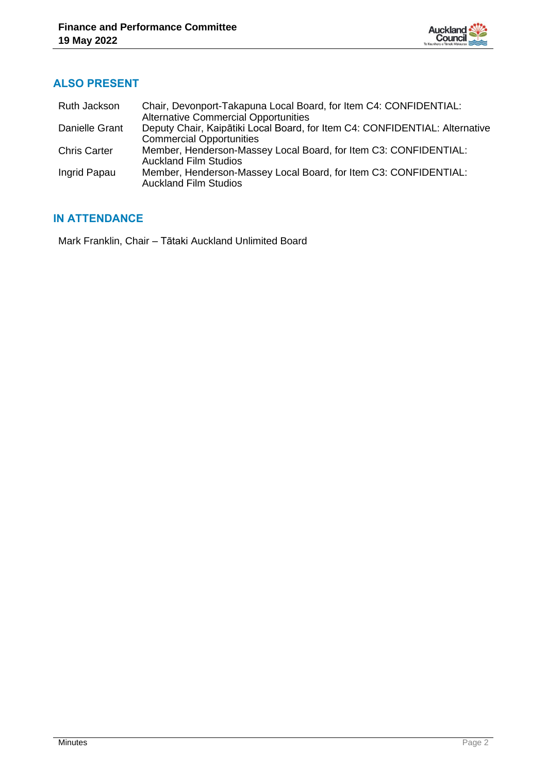

# **ALSO PRESENT**

| Ruth Jackson        | Chair, Devonport-Takapuna Local Board, for Item C4: CONFIDENTIAL:           |
|---------------------|-----------------------------------------------------------------------------|
|                     | <b>Alternative Commercial Opportunities</b>                                 |
| Danielle Grant      | Deputy Chair, Kaipātiki Local Board, for Item C4: CONFIDENTIAL: Alternative |
|                     | <b>Commercial Opportunities</b>                                             |
| <b>Chris Carter</b> | Member, Henderson-Massey Local Board, for Item C3: CONFIDENTIAL:            |
|                     | <b>Auckland Film Studios</b>                                                |
| Ingrid Papau        | Member, Henderson-Massey Local Board, for Item C3: CONFIDENTIAL:            |
|                     | <b>Auckland Film Studios</b>                                                |

# **IN ATTENDANCE**

Mark Franklin, Chair – Tātaki Auckland Unlimited Board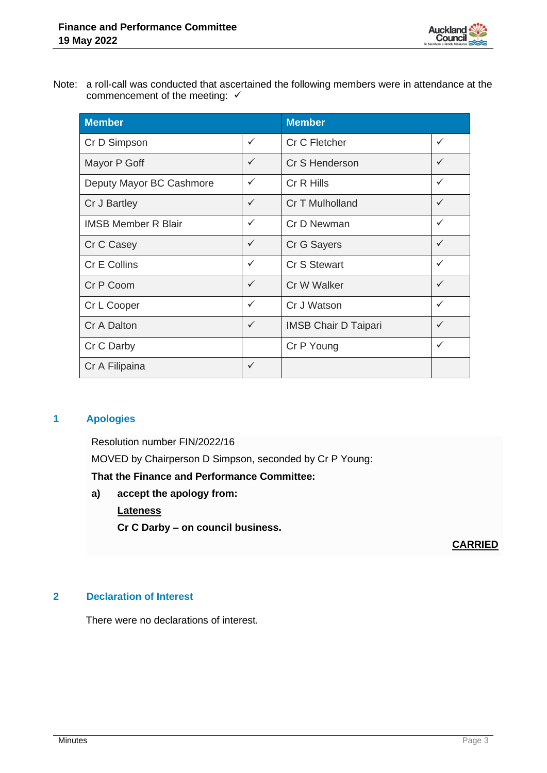

Note: a roll-call was conducted that ascertained the following members were in attendance at the commencement of the meeting: ✓

| <b>Member</b>              |              | <b>Member</b>               |              |
|----------------------------|--------------|-----------------------------|--------------|
| Cr D Simpson               | $\checkmark$ | Cr C Fletcher               | ✓            |
| Mayor P Goff               | $\checkmark$ | Cr S Henderson              | $\checkmark$ |
| Deputy Mayor BC Cashmore   | $\checkmark$ | Cr R Hills                  | ✓            |
| Cr J Bartley               | $\checkmark$ | Cr T Mulholland             | ✓            |
| <b>IMSB Member R Blair</b> | $\checkmark$ | Cr D Newman                 | ✓            |
| Cr C Casey                 | $\checkmark$ | Cr G Sayers                 | ✓            |
| <b>Cr E Collins</b>        | $\checkmark$ | <b>Cr S Stewart</b>         | ✓            |
| Cr P Coom                  | $\checkmark$ | Cr W Walker                 | $\checkmark$ |
| Cr L Cooper                | $\checkmark$ | Cr J Watson                 | ✓            |
| Cr A Dalton                | $\checkmark$ | <b>IMSB Chair D Taipari</b> | ✓            |
| Cr C Darby                 |              | Cr P Young                  | ✓            |
| Cr A Filipaina             | $\checkmark$ |                             |              |

# **1 Apologies**

Resolution number FIN/2022/16 MOVED by Chairperson D Simpson, seconded by Cr P Young:

**That the Finance and Performance Committee:**

**a) accept the apology from: Lateness Cr C Darby – on council business.**

**CARRIED**

#### **2 Declaration of Interest**

There were no declarations of interest.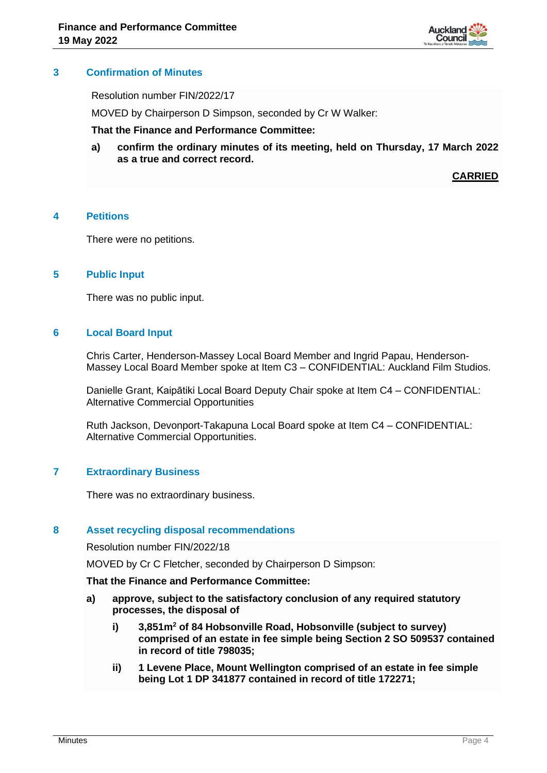

#### **3 Confirmation of Minutes**

Resolution number FIN/2022/17

MOVED by Chairperson D Simpson, seconded by Cr W Walker:

**That the Finance and Performance Committee:**

**a) confirm the ordinary minutes of its meeting, held on Thursday, 17 March 2022 as a true and correct record.**

**CARRIED**

#### **4 Petitions**

There were no petitions.

#### **5 Public Input**

There was no public input.

#### **6 Local Board Input**

Chris Carter, Henderson-Massey Local Board Member and Ingrid Papau, Henderson-Massey Local Board Member spoke at Item C3 – CONFIDENTIAL: Auckland Film Studios.

Danielle Grant, Kaipātiki Local Board Deputy Chair spoke at Item C4 – CONFIDENTIAL: Alternative Commercial Opportunities

Ruth Jackson, Devonport-Takapuna Local Board spoke at Item C4 – CONFIDENTIAL: Alternative Commercial Opportunities.

#### **7 Extraordinary Business**

There was no extraordinary business.

#### **8 Asset recycling disposal recommendations**

Resolution number FIN/2022/18

MOVED by Cr C Fletcher, seconded by Chairperson D Simpson:

#### **That the Finance and Performance Committee:**

- **a) approve, subject to the satisfactory conclusion of any required statutory processes, the disposal of**
	- **i) 3,851m<sup>2</sup> of 84 Hobsonville Road, Hobsonville (subject to survey) comprised of an estate in fee simple being Section 2 SO 509537 contained in record of title 798035;**
	- **ii) 1 Levene Place, Mount Wellington comprised of an estate in fee simple being Lot 1 DP 341877 contained in record of title 172271;**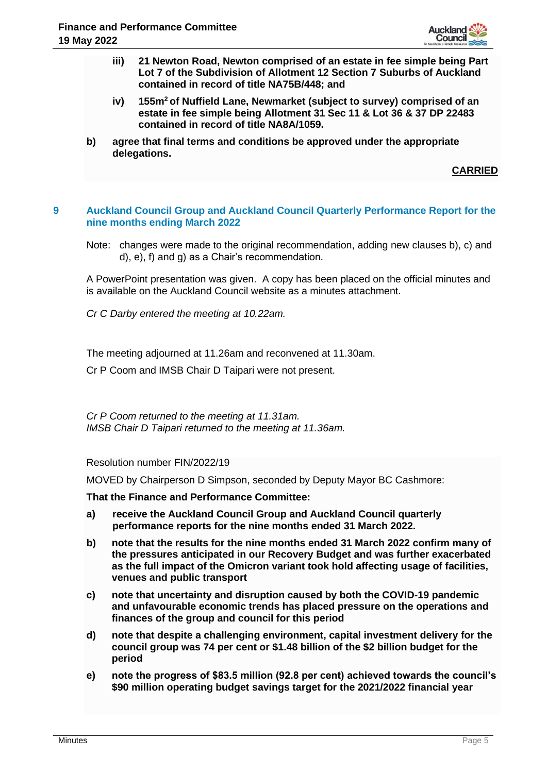

- **iii) 21 Newton Road, Newton comprised of an estate in fee simple being Part Lot 7 of the Subdivision of Allotment 12 Section 7 Suburbs of Auckland contained in record of title NA75B/448; and**
- **iv) 155m<sup>2</sup>of Nuffield Lane, Newmarket (subject to survey) comprised of an estate in fee simple being Allotment 31 Sec 11 & Lot 36 & 37 DP 22483 contained in record of title NA8A/1059.**
- **b) agree that final terms and conditions be approved under the appropriate delegations.**

**CARRIED**

#### **9 Auckland Council Group and Auckland Council Quarterly Performance Report for the nine months ending March 2022**

Note: changes were made to the original recommendation, adding new clauses b), c) and d), e), f) and g) as a Chair's recommendation.

A PowerPoint presentation was given. A copy has been placed on the official minutes and is available on the Auckland Council website as a minutes attachment.

*Cr C Darby entered the meeting at 10.22am.*

The meeting adjourned at 11.26am and reconvened at 11.30am.

Cr P Coom and IMSB Chair D Taipari were not present.

*Cr P Coom returned to the meeting at 11.31am. IMSB Chair D Taipari returned to the meeting at 11.36am.*

Resolution number FIN/2022/19

MOVED by Chairperson D Simpson, seconded by Deputy Mayor BC Cashmore:

**That the Finance and Performance Committee:**

- **a) receive the Auckland Council Group and Auckland Council quarterly performance reports for the nine months ended 31 March 2022.**
- **b) note that the results for the nine months ended 31 March 2022 confirm many of the pressures anticipated in our Recovery Budget and was further exacerbated as the full impact of the Omicron variant took hold affecting usage of facilities, venues and public transport**
- **c) note that uncertainty and disruption caused by both the COVID-19 pandemic and unfavourable economic trends has placed pressure on the operations and finances of the group and council for this period**
- **d) note that despite a challenging environment, capital investment delivery for the council group was 74 per cent or \$1.48 billion of the \$2 billion budget for the period**
- **e) note the progress of \$83.5 million (92.8 per cent) achieved towards the council's \$90 million operating budget savings target for the 2021/2022 financial year**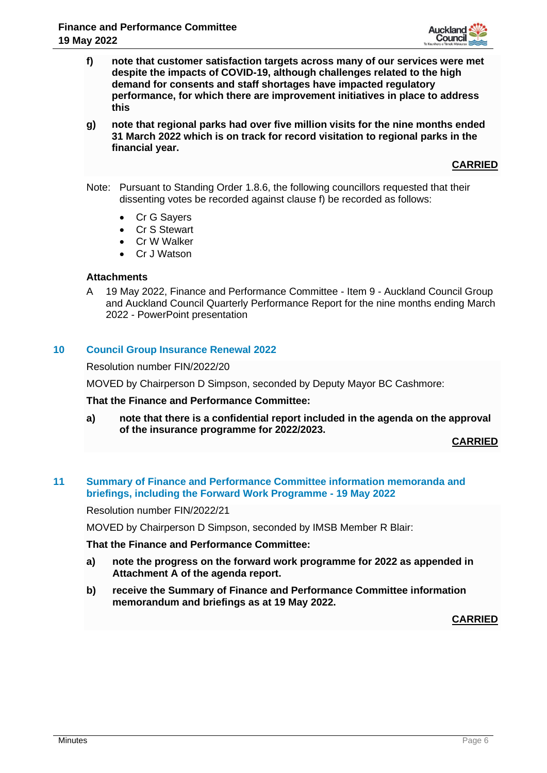

- **f) note that customer satisfaction targets across many of our services were met despite the impacts of COVID-19, although challenges related to the high demand for consents and staff shortages have impacted regulatory performance, for which there are improvement initiatives in place to address this**
- **g) note that regional parks had over five million visits for the nine months ended 31 March 2022 which is on track for record visitation to regional parks in the financial year.**

**CARRIED**

- Note: Pursuant to Standing Order 1.8.6, the following councillors requested that their dissenting votes be recorded against clause f) be recorded as follows:
	- Cr G Sayers
	- Cr S Stewart
	- Cr W Walker
	- Cr J Watson

#### **Attachments**

A 19 May 2022, Finance and Performance Committee - Item 9 - Auckland Council Group and Auckland Council Quarterly Performance Report for the nine months ending March 2022 - PowerPoint presentation

#### **10 Council Group Insurance Renewal 2022**

Resolution number FIN/2022/20

MOVED by Chairperson D Simpson, seconded by Deputy Mayor BC Cashmore:

#### **That the Finance and Performance Committee:**

**a) note that there is a confidential report included in the agenda on the approval of the insurance programme for 2022/2023.**

**CARRIED**

#### **11 Summary of Finance and Performance Committee information memoranda and briefings, including the Forward Work Programme - 19 May 2022**

Resolution number FIN/2022/21

MOVED by Chairperson D Simpson, seconded by IMSB Member R Blair:

**That the Finance and Performance Committee:**

- **a) note the progress on the forward work programme for 2022 as appended in Attachment A of the agenda report.**
- **b) receive the Summary of Finance and Performance Committee information memorandum and briefings as at 19 May 2022.**

**CARRIED**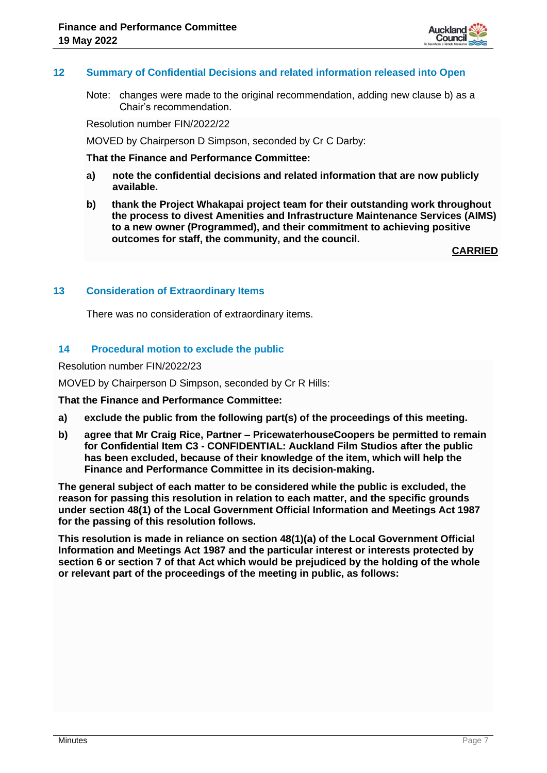

#### **12 Summary of Confidential Decisions and related information released into Open**

Note: changes were made to the original recommendation, adding new clause b) as a Chair's recommendation.

Resolution number FIN/2022/22

MOVED by Chairperson D Simpson, seconded by Cr C Darby:

#### **That the Finance and Performance Committee:**

- **a) note the confidential decisions and related information that are now publicly available.**
- **b) thank the Project Whakapai project team for their outstanding work throughout the process to divest Amenities and Infrastructure Maintenance Services (AIMS) to a new owner (Programmed), and their commitment to achieving positive outcomes for staff, the community, and the council.**

**CARRIED**

#### **13 Consideration of Extraordinary Items**

There was no consideration of extraordinary items.

#### **14 Procedural motion to exclude the public**

Resolution number FIN/2022/23

MOVED by Chairperson D Simpson, seconded by Cr R Hills:

**That the Finance and Performance Committee:**

- **a) exclude the public from the following part(s) of the proceedings of this meeting.**
- **b) agree that Mr Craig Rice, Partner – PricewaterhouseCoopers be permitted to remain for Confidential Item C3 - CONFIDENTIAL: Auckland Film Studios after the public has been excluded, because of their knowledge of the item, which will help the Finance and Performance Committee in its decision-making.**

**The general subject of each matter to be considered while the public is excluded, the reason for passing this resolution in relation to each matter, and the specific grounds under section 48(1) of the Local Government Official Information and Meetings Act 1987 for the passing of this resolution follows.**

**This resolution is made in reliance on section 48(1)(a) of the Local Government Official Information and Meetings Act 1987 and the particular interest or interests protected by section 6 or section 7 of that Act which would be prejudiced by the holding of the whole or relevant part of the proceedings of the meeting in public, as follows:**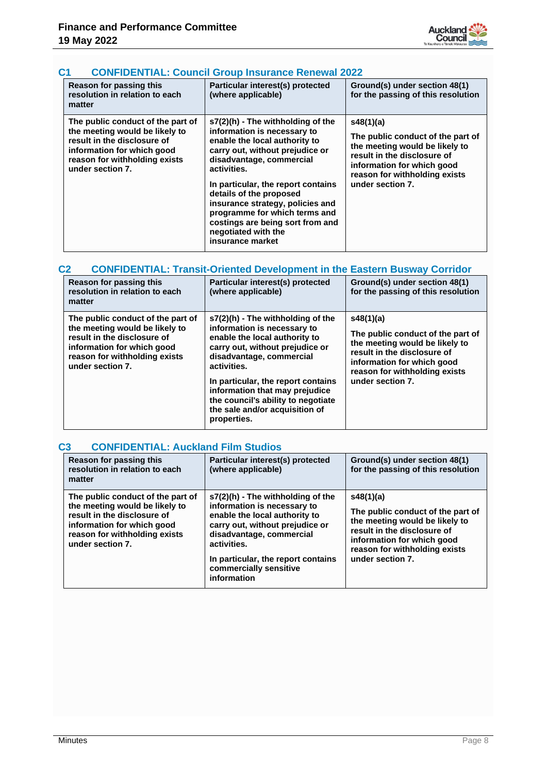

# **C1 CONFIDENTIAL: Council Group Insurance Renewal 2022**

| <b>Reason for passing this</b><br>resolution in relation to each<br>matter                                                                                                            | Particular interest(s) protected<br>(where applicable)                                                                                                                                                                                                                                                                                                                                                  | Ground(s) under section 48(1)<br>for the passing of this resolution                                                                                                                                |
|---------------------------------------------------------------------------------------------------------------------------------------------------------------------------------------|---------------------------------------------------------------------------------------------------------------------------------------------------------------------------------------------------------------------------------------------------------------------------------------------------------------------------------------------------------------------------------------------------------|----------------------------------------------------------------------------------------------------------------------------------------------------------------------------------------------------|
| The public conduct of the part of<br>the meeting would be likely to<br>result in the disclosure of<br>information for which good<br>reason for withholding exists<br>under section 7. | $s7(2)$ (h) - The withholding of the<br>information is necessary to<br>enable the local authority to<br>carry out, without prejudice or<br>disadvantage, commercial<br>activities.<br>In particular, the report contains<br>details of the proposed<br>insurance strategy, policies and<br>programme for which terms and<br>costings are being sort from and<br>negotiated with the<br>insurance market | s48(1)(a)<br>The public conduct of the part of<br>the meeting would be likely to<br>result in the disclosure of<br>information for which good<br>reason for withholding exists<br>under section 7. |

#### **C2 CONFIDENTIAL: Transit-Oriented Development in the Eastern Busway Corridor**

| Reason for passing this<br>resolution in relation to each<br>matter                                                                                                                   | Particular interest(s) protected<br>(where applicable)                                                                                                                                                                                                                                                                                           | Ground(s) under section 48(1)<br>for the passing of this resolution                                                                                                                                |
|---------------------------------------------------------------------------------------------------------------------------------------------------------------------------------------|--------------------------------------------------------------------------------------------------------------------------------------------------------------------------------------------------------------------------------------------------------------------------------------------------------------------------------------------------|----------------------------------------------------------------------------------------------------------------------------------------------------------------------------------------------------|
| The public conduct of the part of<br>the meeting would be likely to<br>result in the disclosure of<br>information for which good<br>reason for withholding exists<br>under section 7. | $s7(2)(h)$ - The withholding of the<br>information is necessary to<br>enable the local authority to<br>carry out, without prejudice or<br>disadvantage, commercial<br>activities.<br>In particular, the report contains<br>information that may prejudice<br>the council's ability to negotiate<br>the sale and/or acquisition of<br>properties. | s48(1)(a)<br>The public conduct of the part of<br>the meeting would be likely to<br>result in the disclosure of<br>information for which good<br>reason for withholding exists<br>under section 7. |

# **C3 CONFIDENTIAL: Auckland Film Studios**

| Reason for passing this<br>resolution in relation to each<br>matter                                                                                                                   | Particular interest(s) protected<br>(where applicable)                                                                                                                                                                                                           | Ground(s) under section 48(1)<br>for the passing of this resolution                                                                                                                                |
|---------------------------------------------------------------------------------------------------------------------------------------------------------------------------------------|------------------------------------------------------------------------------------------------------------------------------------------------------------------------------------------------------------------------------------------------------------------|----------------------------------------------------------------------------------------------------------------------------------------------------------------------------------------------------|
| The public conduct of the part of<br>the meeting would be likely to<br>result in the disclosure of<br>information for which good<br>reason for withholding exists<br>under section 7. | $s7(2)(h)$ - The withholding of the<br>information is necessary to<br>enable the local authority to<br>carry out, without prejudice or<br>disadvantage, commercial<br>activities.<br>In particular, the report contains<br>commercially sensitive<br>information | s48(1)(a)<br>The public conduct of the part of<br>the meeting would be likely to<br>result in the disclosure of<br>information for which good<br>reason for withholding exists<br>under section 7. |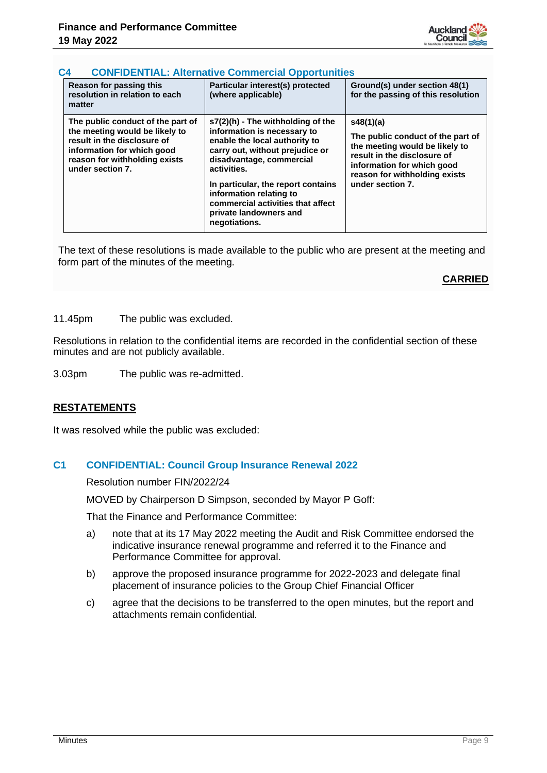

#### **C4 CONFIDENTIAL: Alternative Commercial Opportunities**

| Reason for passing this<br>resolution in relation to each<br>matter                                                                                                                   | Particular interest(s) protected<br>(where applicable)                                                                                                                                                                                                                                                                           | Ground(s) under section 48(1)<br>for the passing of this resolution                                                                                                                                |
|---------------------------------------------------------------------------------------------------------------------------------------------------------------------------------------|----------------------------------------------------------------------------------------------------------------------------------------------------------------------------------------------------------------------------------------------------------------------------------------------------------------------------------|----------------------------------------------------------------------------------------------------------------------------------------------------------------------------------------------------|
| The public conduct of the part of<br>the meeting would be likely to<br>result in the disclosure of<br>information for which good<br>reason for withholding exists<br>under section 7. | s7(2)(h) - The withholding of the<br>information is necessary to<br>enable the local authority to<br>carry out, without prejudice or<br>disadvantage, commercial<br>activities.<br>In particular, the report contains<br>information relating to<br>commercial activities that affect<br>private landowners and<br>negotiations. | s48(1)(a)<br>The public conduct of the part of<br>the meeting would be likely to<br>result in the disclosure of<br>information for which good<br>reason for withholding exists<br>under section 7. |

The text of these resolutions is made available to the public who are present at the meeting and form part of the minutes of the meeting.

#### **CARRIED**

11.45pm The public was excluded.

Resolutions in relation to the confidential items are recorded in the confidential section of these minutes and are not publicly available.

3.03pm The public was re-admitted.

#### **RESTATEMENTS**

It was resolved while the public was excluded:

#### **C1 CONFIDENTIAL: Council Group Insurance Renewal 2022**

Resolution number FIN/2022/24

MOVED by Chairperson D Simpson, seconded by Mayor P Goff:

That the Finance and Performance Committee:

- a) note that at its 17 May 2022 meeting the Audit and Risk Committee endorsed the indicative insurance renewal programme and referred it to the Finance and Performance Committee for approval.
- b) approve the proposed insurance programme for 2022-2023 and delegate final placement of insurance policies to the Group Chief Financial Officer
- c) agree that the decisions to be transferred to the open minutes, but the report and attachments remain confidential.